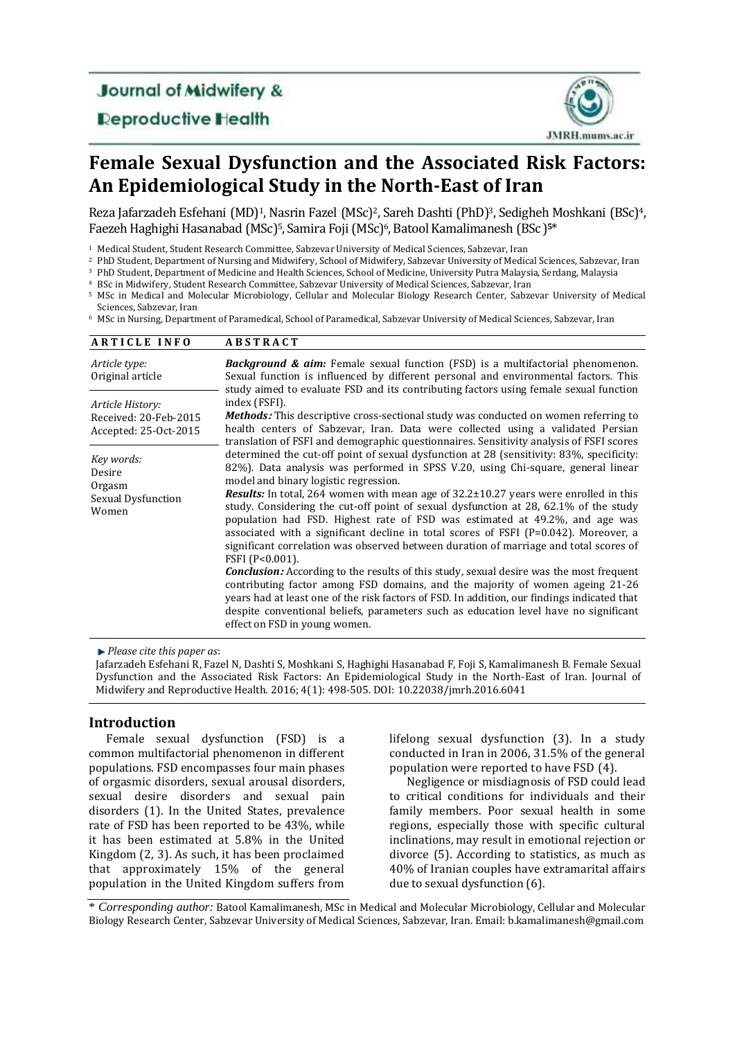**Journal of Midwifery &** 

**Deproductive Health** 



# **Female Sexual Dysfunction and the Associated Risk Factors: An Epidemiological Study in the North-East of Iran**

Reza Jafarzadeh Esfehani (MD)<sup>1</sup>, Nasrin Fazel (MSc)<sup>2</sup>, Sareh Dashti (PhD)<sup>3</sup>, Sedigheh Moshkani (BSc)<sup>4</sup>, Faezeh Haghighi Hasanabad (MSc)5, Samira Foji (MSc)6, Batool Kamalimanesh (BSc) **5**\*

<sup>1</sup> Medical Student, Student Research Committee, Sabzevar University of Medical Sciences, Sabzevar, Iran

<sup>2</sup> PhD Student, Department of Nursing and Midwifery, School of Midwifery, Sabzevar University of Medical Sciences, Sabzevar, Iran

<sup>3</sup> PhD Student, Department of Medicine and Health Sciences, School of Medicine, University Putra Malaysia, Serdang, Malaysia

<sup>4</sup> BSc in Midwifery, Student Research Committee, Sabzevar University of Medical Sciences, Sabzevar, Iran

<sup>5</sup> MSc in [Medical and Molecular Microbiology,](https://scholar.google.com/citations?view_op=search_authors&hl=en&mauthors=label:medical_and_molecular_microbiology) Cellular and Molecular Biology Research Center, Sabzevar University of Medical Sciences, Sabzevar, Iran

<sup>6</sup> MSc in Nursing, Department of Paramedical, School of Paramedical, Sabzevar University of Medical Sciences, Sabzevar, Iran

| <b>ARTICLE INFO</b>                                                | <b>ABSTRACT</b>                                                                                                                                                                                                                                                                                                                                                                                                                                                                                                                                                                                                                                                                                                                                                                                                                                                                                                                                                                                                                                                                                                     |
|--------------------------------------------------------------------|---------------------------------------------------------------------------------------------------------------------------------------------------------------------------------------------------------------------------------------------------------------------------------------------------------------------------------------------------------------------------------------------------------------------------------------------------------------------------------------------------------------------------------------------------------------------------------------------------------------------------------------------------------------------------------------------------------------------------------------------------------------------------------------------------------------------------------------------------------------------------------------------------------------------------------------------------------------------------------------------------------------------------------------------------------------------------------------------------------------------|
| Article type:<br>Original article                                  | <b>Background &amp; aim:</b> Female sexual function (FSD) is a multifactorial phenomenon.<br>Sexual function is influenced by different personal and environmental factors. This<br>study aimed to evaluate FSD and its contributing factors using female sexual function                                                                                                                                                                                                                                                                                                                                                                                                                                                                                                                                                                                                                                                                                                                                                                                                                                           |
| Article History:<br>Received: 20-Feb-2015<br>Accepted: 25-Oct-2015 | index (FSFI).<br><b>Methods:</b> This descriptive cross-sectional study was conducted on women referring to<br>health centers of Sabzevar, Iran. Data were collected using a validated Persian<br>translation of FSFI and demographic questionnaires. Sensitivity analysis of FSFI scores                                                                                                                                                                                                                                                                                                                                                                                                                                                                                                                                                                                                                                                                                                                                                                                                                           |
| Key words:<br>Desire<br>Orgasm<br>Sexual Dysfunction<br>Women      | determined the cut-off point of sexual dysfunction at 28 (sensitivity: 83%, specificity:<br>82%). Data analysis was performed in SPSS V.20, using Chi-square, general linear<br>model and binary logistic regression.<br><b>Results:</b> In total, 264 women with mean age of $32.2 \pm 10.27$ years were enrolled in this<br>study. Considering the cut-off point of sexual dysfunction at 28, 62.1% of the study<br>population had FSD. Highest rate of FSD was estimated at 49.2%, and age was<br>associated with a significant decline in total scores of FSFI $(P=0.042)$ . Moreover, a<br>significant correlation was observed between duration of marriage and total scores of<br>FSFI (P<0.001).<br><b>Conclusion:</b> According to the results of this study, sexual desire was the most frequent<br>contributing factor among FSD domains, and the majority of women ageing 21-26<br>years had at least one of the risk factors of FSD. In addition, our findings indicated that<br>despite conventional beliefs, parameters such as education level have no significant<br>effect on FSD in young women. |

*Please cite this paper as*:

Jafarzadeh Esfehani R, Fazel N, Dashti S, Moshkani S, Haghighi Hasanabad F, Foji S, Kamalimanesh B. Female Sexual Dysfunction and the Associated Risk Factors: An Epidemiological Study in the North-East of Iran. Journal of Midwifery and Reproductive Health. 2016; 4(1): 498-505. DOI: 10.22038/jmrh.2016.6041

## **Introduction**

Female sexual dysfunction (FSD) is a common multifactorial phenomenon in different populations. FSD encompasses four main phases of orgasmic disorders, sexual arousal disorders, sexual desire disorders and sexual pain disorders [\(1\)](#page-6-0). In the United States, prevalence rate of FSD has been reported to be 43%, while it has been estimated at 5.8% in the United Kingdom [\(2,](#page-6-1) [3\)](#page-6-2). As such, it has been proclaimed that approximately 15% of the general population in the United Kingdom suffers from

lifelong sexual dysfunction (3). In a study conducted in Iran in 2006, 31.5% of the general population were reported to have FSD [\(4\)](#page-6-3).

Negligence or misdiagnosis of FSD could lead to critical conditions for individuals and their family members. Poor sexual health in some regions, especially those with specific cultural inclinations, may result in emotional rejection or divorce [\(5\)](#page-6-4). According to statistics, as much as 40% of Iranian couples have extramarital affairs due to sexual dysfunction [\(6\)](#page-6-5).

\* *Corresponding author:* Batool Kamalimanesh, MSc in Medical and Molecular Microbiology, Cellular and Molecular Biology Research Center, Sabzevar University of Medical Sciences, Sabzevar, Iran. Email[: b.kamalimanesh@gmail.com](mailto:b.kamalimanesh@gmail.com)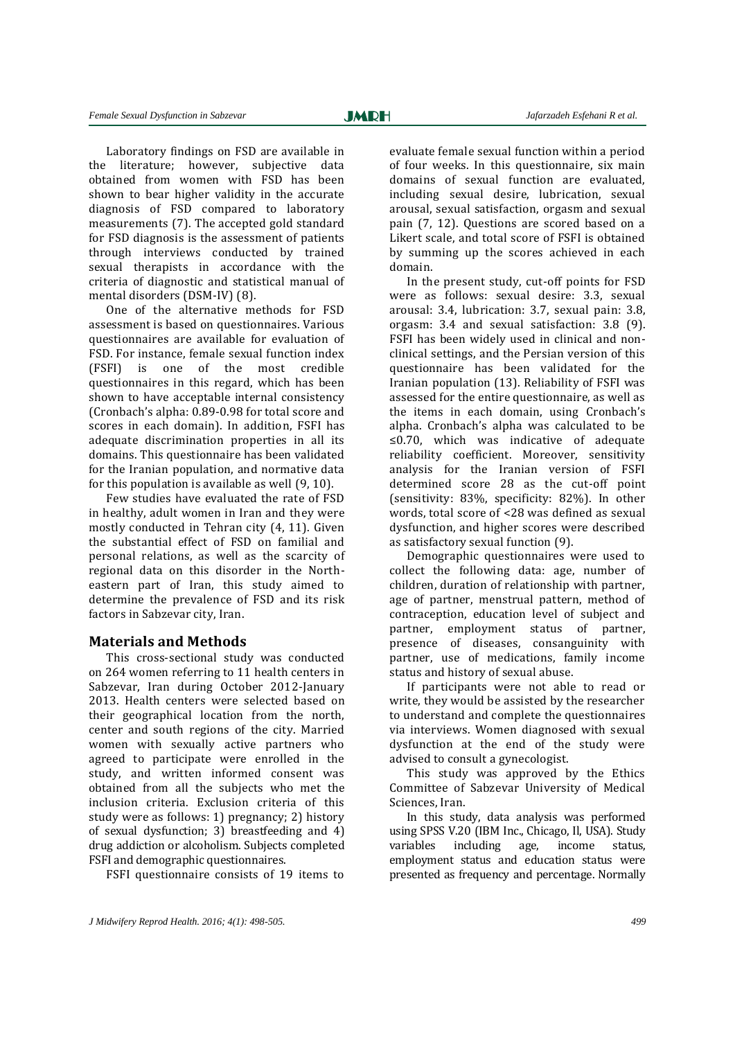Laboratory findings on FSD are available in the literature; however, subjective data obtained from women with FSD has been shown to bear higher validity in the accurate diagnosis of FSD compared to laboratory measurements [\(7\)](#page-6-6). The accepted gold standard for FSD diagnosis is the assessment of patients through interviews conducted by trained sexual therapists in accordance with the criteria of diagnostic and statistical manual of mental disorders (DSM-IV) [\(8\)](#page-6-7).

One of the alternative methods for FSD assessment is based on questionnaires. Various questionnaires are available for evaluation of FSD. For instance, female sexual function index (FSFI) is one of the most credible questionnaires in this regard, which has been shown to have acceptable internal consistency (Cronbach's alpha: 0.89-0.98 for total score and scores in each domain). In addition, FSFI has adequate discrimination properties in all its domains. This questionnaire has been validated for the Iranian population, and normative data for this population is available as well [\(9,](#page-6-8) [10\)](#page-6-9).

Few studies have evaluated the rate of FSD in healthy, adult women in Iran and they were mostly conducted in Tehran city (4, 11). Given the substantial effect of FSD on familial and personal relations, as well as the scarcity of regional data on this disorder in the Northeastern part of Iran, this study aimed to determine the prevalence of FSD and its risk factors in Sabzevar city, Iran.

## **Materials and Methods**

This cross-sectional study was conducted on 264 women referring to 11 health centers in Sabzevar, Iran during October 2012-January 2013. Health centers were selected based on their geographical location from the north, center and south regions of the city. Married women with sexually active partners who agreed to participate were enrolled in the study, and written informed consent was obtained from all the subjects who met the inclusion criteria. Exclusion criteria of this study were as follows: 1) pregnancy; 2) history of sexual dysfunction; 3) breastfeeding and 4) drug addiction or alcoholism. Subjects completed FSFI and demographic questionnaires.

FSFI questionnaire consists of 19 items to

evaluate female sexual function within a period of four weeks. In this questionnaire, six main domains of sexual function are evaluated, including sexual desire, lubrication, sexual arousal, sexual satisfaction, orgasm and sexual pain [\(7,](#page-6-6) [12\)](#page-6-10). Questions are scored based on a Likert scale, and total score of FSFI is obtained by summing up the scores achieved in each domain.

In the present study, cut-off points for FSD were as follows: sexual desire: 3.3, sexual arousal: 3.4, lubrication: 3.7, sexual pain: 3.8, orgasm: 3.4 and sexual satisfaction: 3.8 [\(9\)](#page-6-8). FSFI has been widely used in clinical and nonclinical settings, and the Persian version of this questionnaire has been validated for the Iranian population (13). Reliability of FSFI was assessed for the entire questionnaire, as well as the items in each domain, using Cronbach's alpha. Cronbach's alpha was calculated to be ≤0.70, which was indicative of adequate reliability coefficient. Moreover, sensitivity analysis for the Iranian version of FSFI determined score 28 as the cut-off point (sensitivity: 83%, specificity: 82%). In other words, total score of <28 was defined as sexual dysfunction, and higher scores were described as satisfactory sexual function [\(9\)](#page-6-8).

Demographic questionnaires were used to collect the following data: age, number of children, duration of relationship with partner, age of partner, menstrual pattern, method of contraception, education level of subject and partner, employment status of partner, presence of diseases, consanguinity with partner, use of medications, family income status and history of sexual abuse.

If participants were not able to read or write, they would be assisted by the researcher to understand and complete the questionnaires via interviews. Women diagnosed with sexual dysfunction at the end of the study were advised to consult a gynecologist.

This study was approved by the Ethics Committee of Sabzevar University of Medical Sciences, Iran.

In this study, data analysis was performed using SPSS V.20 (IBM Inc., Chicago, Il, USA). Study variables including age, income status, employment status and education status were presented as frequency and percentage. Normally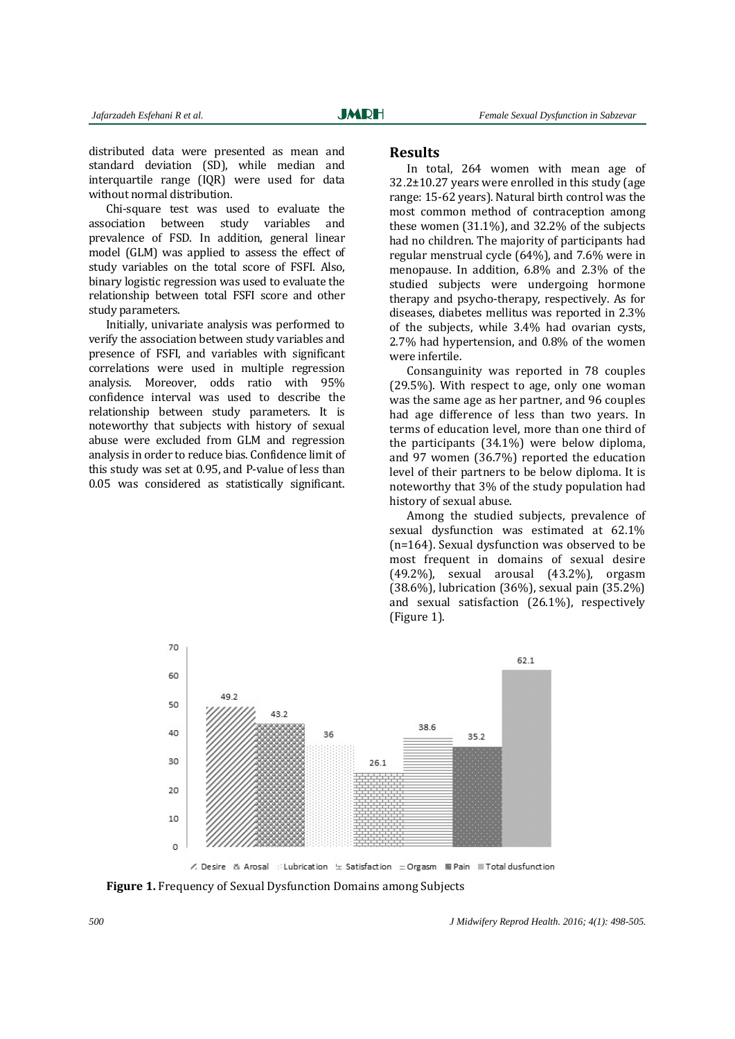distributed data were presented as mean and standard deviation (SD), while median and interquartile range (IQR) were used for data without normal distribution.

Chi-square test was used to evaluate the association between study variables and prevalence of FSD. In addition, general linear model (GLM) was applied to assess the effect of study variables on the total score of FSFI. Also, binary logistic regression was used to evaluate the relationship between total FSFI score and other study parameters.

Initially, univariate analysis was performed to verify the association between study variables and presence of FSFI, and variables with significant correlations were used in multiple regression analysis. Moreover, odds ratio with 95% confidence interval was used to describe the relationship between study parameters. It is noteworthy that subjects with history of sexual abuse were excluded from GLM and regression analysis in order to reduce bias. Confidence limit of this study was set at 0.95, and P-value of less than 0.05 was considered as statistically significant.

### **Results**

In total, 264 women with mean age of 32.2±10.27 years were enrolled in this study (age range: 15-62 years). Natural birth control was the most common method of contraception among these women (31.1%), and 32.2% of the subjects had no children. The majority of participants had regular menstrual cycle (64%), and 7.6% were in menopause. In addition, 6.8% and 2.3% of the studied subjects were undergoing hormone therapy and psycho-therapy, respectively. As for diseases, diabetes mellitus was reported in 2.3% of the subjects, while 3.4% had ovarian cysts, 2.7% had hypertension, and 0.8% of the women were infertile.

Consanguinity was reported in 78 couples (29.5%). With respect to age, only one woman was the same age as her partner, and 96 couples had age difference of less than two years. In terms of education level, more than one third of the participants (34.1%) were below diploma, and 97 women (36.7%) reported the education level of their partners to be below diploma. It is noteworthy that 3% of the study population had history of sexual abuse.

Among the studied subjects, prevalence of sexual dysfunction was estimated at 62.1% (n=164). Sexual dysfunction was observed to be most frequent in domains of sexual desire (49.2%), sexual arousal (43.2%), orgasm (38.6%), lubrication (36%), sexual pain (35.2%) and sexual satisfaction (26.1%), respectively (Figure 1).



**Figure 1.** Frequency of Sexual Dysfunction Domains among Subjects

*500 J Midwifery Reprod Health. 2016; 4(1): 498-505.*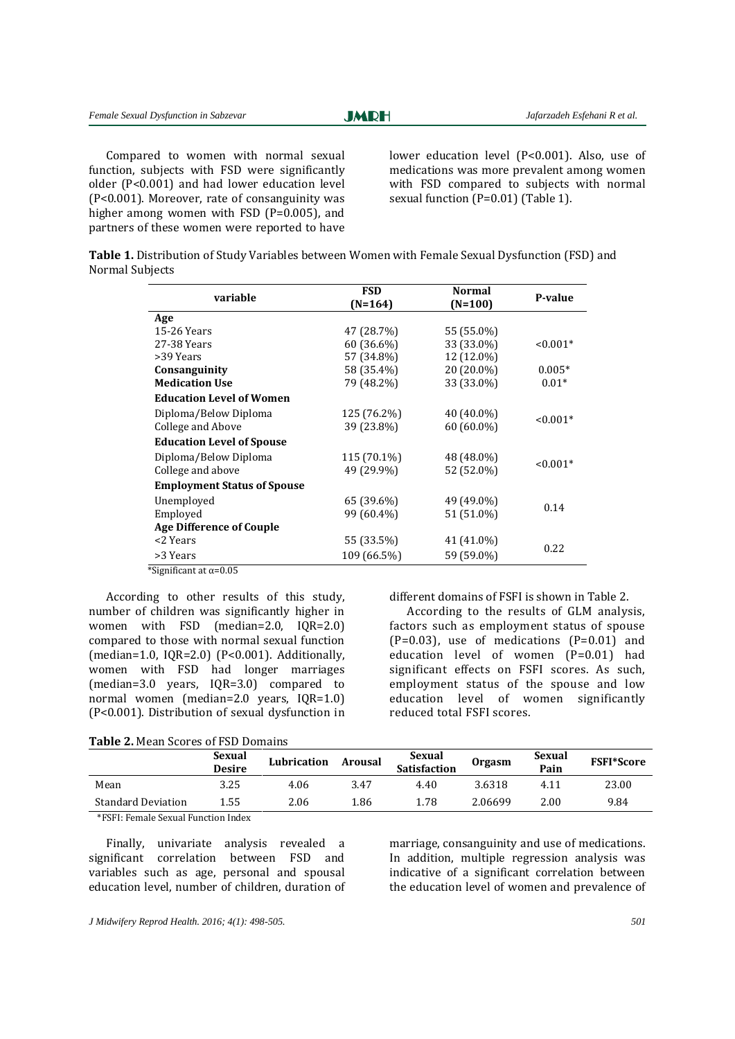**JMRH** 

Compared to women with normal sexual function, subjects with FSD were significantly older (P<0.001) and had lower education level (P<0.001). Moreover, rate of consanguinity was higher among women with FSD  $(P=0.005)$ , and partners of these women were reported to have

lower education level (P<0.001). Also, use of medications was more prevalent among women with FSD compared to subjects with normal sexual function (P=0.01) (Table 1).

| Table 1. Distribution of Study Variables between Women with Female Sexual Dysfunction (FSD) and |  |  |
|-------------------------------------------------------------------------------------------------|--|--|
| Normal Subjects                                                                                 |  |  |

| variable                           | <b>FSD</b>  | <b>Normal</b> | P-value    |  |
|------------------------------------|-------------|---------------|------------|--|
|                                    | (N=164)     | $(N=100)$     |            |  |
| Age                                |             |               |            |  |
| 15-26 Years                        | 47 (28.7%)  | 55 (55.0%)    |            |  |
| 27-38 Years                        | 60 (36.6%)  | 33 (33.0%)    | $< 0.001*$ |  |
| >39 Years                          | 57 (34.8%)  | 12 (12.0%)    |            |  |
| Consanguinity                      | 58 (35.4%)  | 20 (20.0%)    | $0.005*$   |  |
| <b>Medication Use</b>              | 79 (48.2%)  | 33 (33.0%)    | $0.01*$    |  |
| <b>Education Level of Women</b>    |             |               |            |  |
| Diploma/Below Diploma              | 125 (76.2%) | 40 (40.0%)    |            |  |
| College and Above                  | 39 (23.8%)  | 60 (60.0%)    | $< 0.001*$ |  |
| <b>Education Level of Spouse</b>   |             |               |            |  |
| Diploma/Below Diploma              | 115 (70.1%) | 48 (48.0%)    |            |  |
| College and above                  | 49 (29.9%)  | 52 (52.0%)    | $< 0.001*$ |  |
| <b>Employment Status of Spouse</b> |             |               |            |  |
| Unemployed                         | 65 (39.6%)  | 49 (49.0%)    |            |  |
| Employed                           | 99 (60.4%)  | 51 (51.0%)    | 0.14       |  |
| <b>Age Difference of Couple</b>    |             |               |            |  |
| <2 Years                           | 55 (33.5%)  | 41 (41.0%)    |            |  |
| >3 Years                           | 109 (66.5%) | 59 (59.0%)    | 0.22       |  |

\*Significant at  $\alpha$ =0.05

According to other results of this study, number of children was significantly higher in women with FSD (median=2.0, IQR=2.0) compared to those with normal sexual function (median=1.0, IQR=2.0) (P<0.001). Additionally, women with FSD had longer marriages (median=3.0 years, IQR=3.0) compared to normal women (median=2.0 years, IQR=1.0) (P<0.001). Distribution of sexual dysfunction in different domains of FSFI is shown in Table 2.

According to the results of GLM analysis, factors such as employment status of spouse  $(P=0.03)$ , use of medications  $(P=0.01)$  and education level of women (P=0.01) had significant effects on FSFI scores. As such, employment status of the spouse and low education level of women significantly reduced total FSFI scores.

**Table 2.** Mean Scores of FSD Domains

|                           | <b>Sexual</b><br><b>Desire</b> | Lubrication | Arousal | Sexual<br><b>Satisfaction</b> | <b>Orgasm</b> | Sexual<br>Pain | <b>FSFI*Score</b> |
|---------------------------|--------------------------------|-------------|---------|-------------------------------|---------------|----------------|-------------------|
| Mean                      | 3.25                           | 4.06        | 3.47    | 4.40                          | 3.6318        | 4.11           | 23.00             |
| <b>Standard Deviation</b> | 1.55                           | 2.06        | 1.86    | 1.78                          | 2.06699       | 2.00           | 9.84              |

\*FSFI: Female Sexual Function Index

Finally, univariate analysis revealed a significant correlation between FSD and variables such as age, personal and spousal education level, number of children, duration of marriage, consanguinity and use of medications. In addition, multiple regression analysis was indicative of a significant correlation between the education level of women and prevalence of

*J Midwifery Reprod Health. 2016; 4(1): 498-505. 501*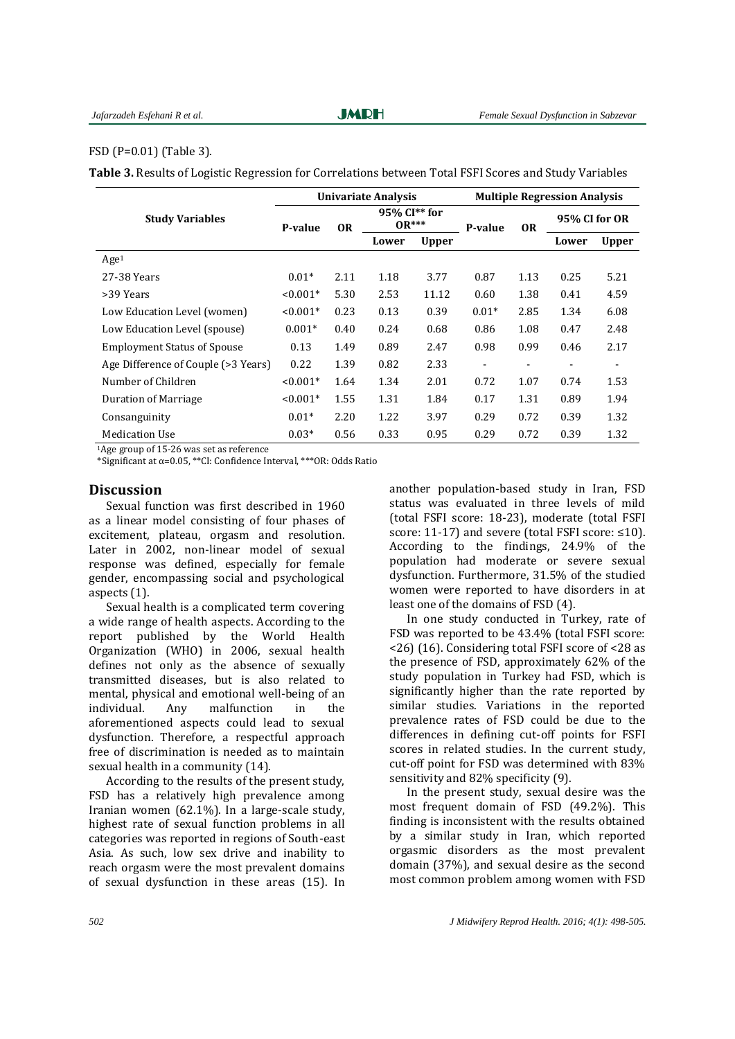#### FSD (P=0.01) (Table 3).

**Table 3.** Results of Logistic Regression for Correlations between Total FSFI Scores and Study Variables

|                                     | Univariate Analysis |           |                                       |              | <b>Multiple Regression Analysis</b> |                              |               |                          |
|-------------------------------------|---------------------|-----------|---------------------------------------|--------------|-------------------------------------|------------------------------|---------------|--------------------------|
| <b>Study Variables</b>              | P-value             | <b>OR</b> | 95% CI <sup>**</sup> for<br>$0^{***}$ |              | P-value                             | 0 <sub>R</sub>               | 95% CI for OR |                          |
|                                     |                     |           | Lower                                 | <b>Upper</b> |                                     |                              | Lower         | <b>Upper</b>             |
| Age <sup>1</sup>                    |                     |           |                                       |              |                                     |                              |               |                          |
| 27-38 Years                         | $0.01*$             | 2.11      | 1.18                                  | 3.77         | 0.87                                | 1.13                         | 0.25          | 5.21                     |
| >39 Years                           | $< 0.001*$          | 5.30      | 2.53                                  | 11.12        | 0.60                                | 1.38                         | 0.41          | 4.59                     |
| Low Education Level (women)         | $< 0.001*$          | 0.23      | 0.13                                  | 0.39         | $0.01*$                             | 2.85                         | 1.34          | 6.08                     |
| Low Education Level (spouse)        | $0.001*$            | 0.40      | 0.24                                  | 0.68         | 0.86                                | 1.08                         | 0.47          | 2.48                     |
| <b>Employment Status of Spouse</b>  | 0.13                | 1.49      | 0.89                                  | 2.47         | 0.98                                | 0.99                         | 0.46          | 2.17                     |
| Age Difference of Couple (>3 Years) | 0.22                | 1.39      | 0.82                                  | 2.33         | -                                   | $\qquad \qquad \blacksquare$ | -             | $\overline{\phantom{a}}$ |
| Number of Children                  | $< 0.001*$          | 1.64      | 1.34                                  | 2.01         | 0.72                                | 1.07                         | 0.74          | 1.53                     |
| Duration of Marriage                | $< 0.001*$          | 1.55      | 1.31                                  | 1.84         | 0.17                                | 1.31                         | 0.89          | 1.94                     |
| Consanguinity                       | $0.01*$             | 2.20      | 1.22                                  | 3.97         | 0.29                                | 0.72                         | 0.39          | 1.32                     |
| <b>Medication Use</b>               | $0.03*$             | 0.56      | 0.33                                  | 0.95         | 0.29                                | 0.72                         | 0.39          | 1.32                     |

<sup>1</sup>Age group of 15-26 was set as reference

\*Significant at α=0.05, \*\*CI: Confidence Interval, \*\*\*OR: Odds Ratio

## **Discussion**

Sexual function was first described in 1960 as a linear model consisting of four phases of excitement, plateau, orgasm and resolution. Later in 2002, non-linear model of sexual response was defined, especially for female gender, encompassing social and psychological aspects [\(1\)](#page-6-0).

Sexual health is a complicated term covering a wide range of health aspects. According to the report published by the World Health Organization (WHO) in 2006, sexual health defines not only as the absence of sexually transmitted diseases, but is also related to mental, physical and emotional well-being of an individual. Any malfunction in the aforementioned aspects could lead to sexual dysfunction. Therefore, a respectful approach free of discrimination is needed as to maintain sexual health in a community [\(14\)](#page-6-11).

According to the results of the present study, FSD has a relatively high prevalence among Iranian women (62.1%). In a large-scale study, highest rate of sexual function problems in all categories was reported in regions of South-east Asia. As such, low sex drive and inability to reach orgasm were the most prevalent domains of sexual dysfunction in these areas [\(15\)](#page-6-12). In

another population-based study in Iran, FSD status was evaluated in three levels of mild (total FSFI score: 18-23), moderate (total FSFI score: 11-17) and severe (total FSFI score: ≤10). According to the findings, 24.9% of the population had moderate or severe sexual dysfunction. Furthermore, 31.5% of the studied women were reported to have disorders in at least one of the domains of FSD [\(4\)](#page-6-3).

In one study conducted in Turkey, rate of FSD was reported to be 43.4% (total FSFI score: <26) [\(16\)](#page-6-13). Considering total FSFI score of <28 as the presence of FSD, approximately 62% of the study population in Turkey had FSD, which is significantly higher than the rate reported by similar studies. Variations in the reported prevalence rates of FSD could be due to the differences in defining cut-off points for FSFI scores in related studies. In the current study, cut-off point for FSD was determined with 83% sensitivity and 82% specificity [\(9\)](#page-6-8).

In the present study, sexual desire was the most frequent domain of FSD (49.2%). This finding is inconsistent with the results obtained by a similar study in Iran, which reported orgasmic disorders as the most prevalent domain (37%), and sexual desire as the second most common problem among women with FSD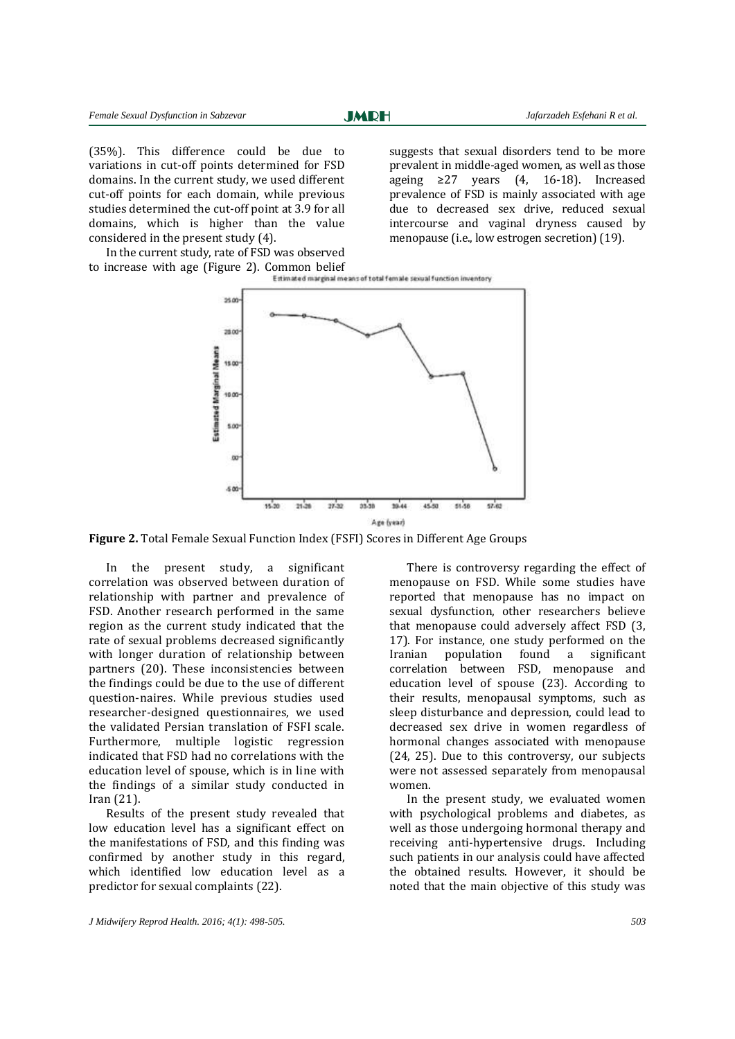(35%). This difference could be due to variations in cut-off points determined for FSD domains. In the current study, we used different cut-off points for each domain, while previous studies determined the cut-off point at 3.9 for all domains, which is higher than the value considered in the present study [\(4\)](#page-6-3).

suggests that sexual disorders tend to be more prevalent in middle-aged women, as well as those ageing  $\geq$ 27 years [\(4,](#page-6-3) [16-18\)](#page-6-13). Increased prevalence of FSD is mainly associated with age due to decreased sex drive, reduced sexual intercourse and vaginal dryness caused by menopause (i.e., low estrogen secretion) [\(19\)](#page-7-0).

In the current study, rate of FSD was observed to increase with age (Figure 2). Common belief<br>
Entranced marginal means of total female sexual function inventory



**Figure 2.** Total Female Sexual Function Index (FSFI) Scores in Different Age Groups

In the present study, a significant correlation was observed between duration of relationship with partner and prevalence of FSD. Another research performed in the same region as the current study indicated that the rate of sexual problems decreased significantly with longer duration of relationship between partners [\(20\)](#page-7-1). These inconsistencies between the findings could be due to the use of different question-naires. While previous studies used researcher-designed questionnaires, we used the validated Persian translation of FSFI scale. Furthermore, multiple logistic regression indicated that FSD had no correlations with the education level of spouse, which is in line with the findings of a similar study conducted in Iran [\(21\)](#page-7-2).

Results of the present study revealed that low education level has a significant effect on the manifestations of FSD, and this finding was confirmed by another study in this regard, which identified low education level as a predictor for sexual complaints [\(22\)](#page-7-3).

There is controversy regarding the effect of menopause on FSD. While some studies have reported that menopause has no impact on sexual dysfunction, other researchers believe that menopause could adversely affect FSD [\(3,](#page-6-2)  [17\)](#page-7-4). For instance, one study performed on the Iranian population found a significant correlation between FSD, menopause and education level of spouse [\(23\)](#page-7-5). According to their results, menopausal symptoms, such as sleep disturbance and depression, could lead to decreased sex drive in women regardless of hormonal changes associated with menopause [\(24,](#page-7-6) 25). Due to this controversy, our subjects were not assessed separately from menopausal women.

In the present study, we evaluated women with psychological problems and diabetes, as well as those undergoing hormonal therapy and receiving anti-hypertensive drugs. Including such patients in our analysis could have affected the obtained results. However, it should be noted that the main objective of this study was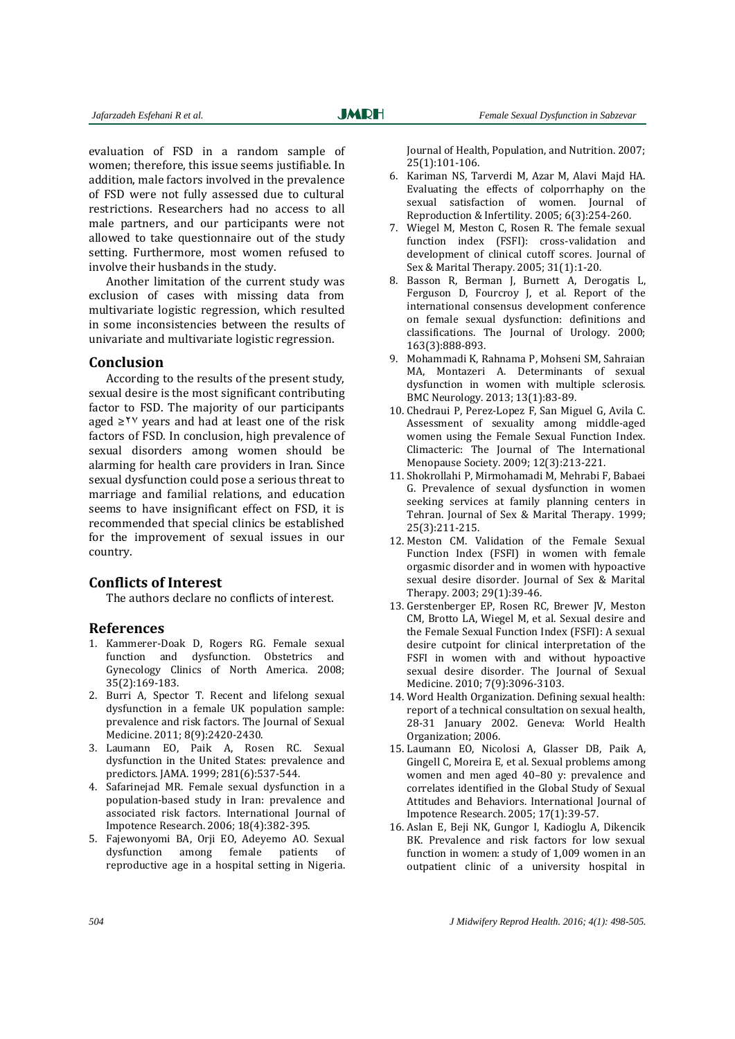evaluation of FSD in a random sample of women; therefore, this issue seems justifiable. In addition, male factors involved in the prevalence of FSD were not fully assessed due to cultural restrictions. Researchers had no access to all male partners, and our participants were not allowed to take questionnaire out of the study setting. Furthermore, most women refused to involve their husbands in the study.

Another limitation of the current study was exclusion of cases with missing data from multivariate logistic regression, which resulted in some inconsistencies between the results of univariate and multivariate logistic regression.

#### **Conclusion**

According to the results of the present study, sexual desire is the most significant contributing factor to FSD. The majority of our participants aged ≥<sup>12</sup> years and had at least one of the risk factors of FSD. In conclusion, high prevalence of sexual disorders among women should be alarming for health care providers in Iran. Since sexual dysfunction could pose a serious threat to marriage and familial relations, and education seems to have insignificant effect on FSD, it is recommended that special clinics be established for the improvement of sexual issues in our country.

## **Conflicts of Interest**

The authors declare no conflicts of interest.

#### **References**

- <span id="page-6-0"></span>1. Kammerer-Doak D, Rogers RG. Female sexual function and dysfunction. Obstetrics and Gynecology Clinics of North America. 2008; 35(2):169-183.
- <span id="page-6-1"></span>2. Burri A, Spector T. Recent and lifelong sexual dysfunction in a female UK population sample: prevalence and risk factors. The Journal of Sexual Medicine. 2011; 8(9):2420-2430.
- <span id="page-6-2"></span>3. Laumann EO, Paik A, Rosen RC. Sexual dysfunction in the United States: prevalence and predictors. JAMA. 1999; 281(6):537-544.
- <span id="page-6-3"></span>4. Safarinejad MR. Female sexual dysfunction in a population-based study in Iran: prevalence and associated risk factors. International Journal of Impotence Research. 2006; 18(4):382-395.
- <span id="page-6-4"></span>5. Fajewonyomi BA, Orji EO, Adeyemo AO. Sexual dysfunction among female patients of reproductive age in a hospital setting in Nigeria.

Journal of Health, Population, and Nutrition. 2007; 25(1):101-106.

- <span id="page-6-5"></span>6. Kariman NS, Tarverdi M, Azar M, Alavi Majd HA. Evaluating the effects of colporrhaphy on the sexual satisfaction of women. Journal of Reproduction & Infertility. 2005; 6(3):254-260.
- <span id="page-6-6"></span>7. Wiegel M, Meston C, Rosen R. The female sexual function index (FSFI): cross-validation and development of clinical cutoff scores. Journal of Sex & Marital Therapy. 2005; 31(1):1-20.
- <span id="page-6-7"></span>8. Basson R, Berman J, Burnett A, Derogatis L, Ferguson D, Fourcroy J, et al. Report of the international consensus development conference on female sexual dysfunction: definitions and classifications. The Journal of Urology. 2000; 163(3):888-893.
- <span id="page-6-8"></span>9. Mohammadi K, Rahnama P, Mohseni SM, Sahraian MA, Montazeri A. Determinants of sexual dysfunction in women with multiple sclerosis. BMC Neurology. 2013; 13(1):83-89.
- <span id="page-6-9"></span>10. Chedraui P, Perez-Lopez F, San Miguel G, Avila C. Assessment of sexuality among middle-aged women using the Female Sexual Function Index. Climacteric: The Journal of The International Menopause Society. 2009; 12(3):213-221.
- 11. Shokrollahi P, Mirmohamadi M, Mehrabi F, Babaei G. Prevalence of sexual dysfunction in women seeking services at family planning centers in Tehran. Journal of Sex & Marital Therapy. 1999; 25(3):211-215.
- <span id="page-6-10"></span>12. Meston CM. Validation of the Female Sexual Function Index (FSFI) in women with female orgasmic disorder and in women with hypoactive sexual desire disorder. Journal of Sex & Marital Therapy. 2003; 29(1):39-46.
- 13. Gerstenberger EP, Rosen RC, Brewer JV, Meston CM, Brotto LA, Wiegel M, et al. Sexual desire and the Female Sexual Function Index (FSFI): A sexual desire cutpoint for clinical interpretation of the FSFI in women with and without hypoactive sexual desire disorder. The Journal of Sexual Medicine. 2010; 7(9):3096-3103.
- <span id="page-6-11"></span>14. Word Health Organization. Defining sexual health: report of a technical consultation on sexual health, 28-31 January 2002. Geneva: World Health Organization; 2006.
- <span id="page-6-12"></span>15. Laumann EO, Nicolosi A, Glasser DB, Paik A, Gingell C, Moreira E, et al. Sexual problems among women and men aged 40–80 y: prevalence and correlates identified in the Global Study of Sexual Attitudes and Behaviors. International Journal of Impotence Research. 2005; 17(1):39-57.
- <span id="page-6-13"></span>16. Aslan E, Beji NK, Gungor I, Kadioglu A, Dikencik BK. Prevalence and risk factors for low sexual function in women: a study of 1,009 women in an outpatient clinic of a university hospital in

*504 J Midwifery Reprod Health. 2016; 4(1): 498-505.*